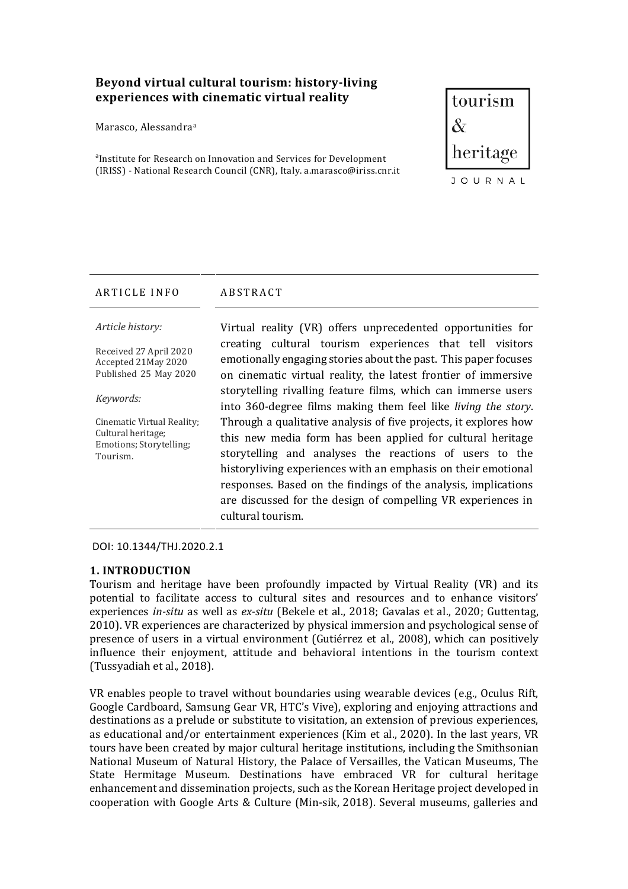# Beyond virtual cultural tourism: history-living experiences with cinematic virtual reality

Marasco, Alessandra<sup>a</sup>

<sup>a</sup>Institute for Research on Innovation and Services for Development (IRISS) - National Research Council (CNR), Italy. a.marasco@iriss.cnr.it



### ARTICLE INFO ABSTRACT

*Article history:* 

Received 27 April 2020 Accepted 21May 2020 Published 25 May 2020

#### *Keywords:*

Cinematic Virtual Reality; Cultural heritage; Emotions; Storytelling; Tourism.

Virtual reality (VR) offers unprecedented opportunities for creating cultural tourism experiences that tell visitors emotionally engaging stories about the past. This paper focuses on cinematic virtual reality, the latest frontier of immersive storytelling rivalling feature films, which can immerse users into 360-degree films making them feel like *living the story*. Through a qualitative analysis of five projects, it explores how this new media form has been applied for cultural heritage storytelling and analyses the reactions of users to the historyliving experiences with an emphasis on their emotional responses. Based on the findings of the analysis, implications are discussed for the design of compelling VR experiences in cultural tourism.

DOI: 10.1344/THJ.2020.2.1

### **1. INTRODUCTION**

Tourism and heritage have been profoundly impacted by Virtual Reality (VR) and its potential to facilitate access to cultural sites and resources and to enhance visitors' experiences *in-situ* as well as *ex-situ* (Bekele et al., 2018; Gavalas et al., 2020; Guttentag, 2010). VR experiences are characterized by physical immersion and psychological sense of presence of users in a virtual environment (Gutiérrez et al., 2008), which can positively influence their enjoyment, attitude and behavioral intentions in the tourism context (Tussyadiah et al., 2018).

VR enables people to travel without boundaries using wearable devices (e.g., Oculus Rift, Google Cardboard, Samsung Gear VR, HTC's Vive), exploring and enjoying attractions and destinations as a prelude or substitute to visitation, an extension of previous experiences, as educational and/or entertainment experiences (Kim et al., 2020). In the last years, VR tours have been created by major cultural heritage institutions, including the Smithsonian National Museum of Natural History, the Palace of Versailles, the Vatican Museums, The State Hermitage Museum. Destinations have embraced VR for cultural heritage enhancement and dissemination projects, such as the Korean Heritage project developed in cooperation with Google Arts & Culture (Min-sik, 2018). Several museums, galleries and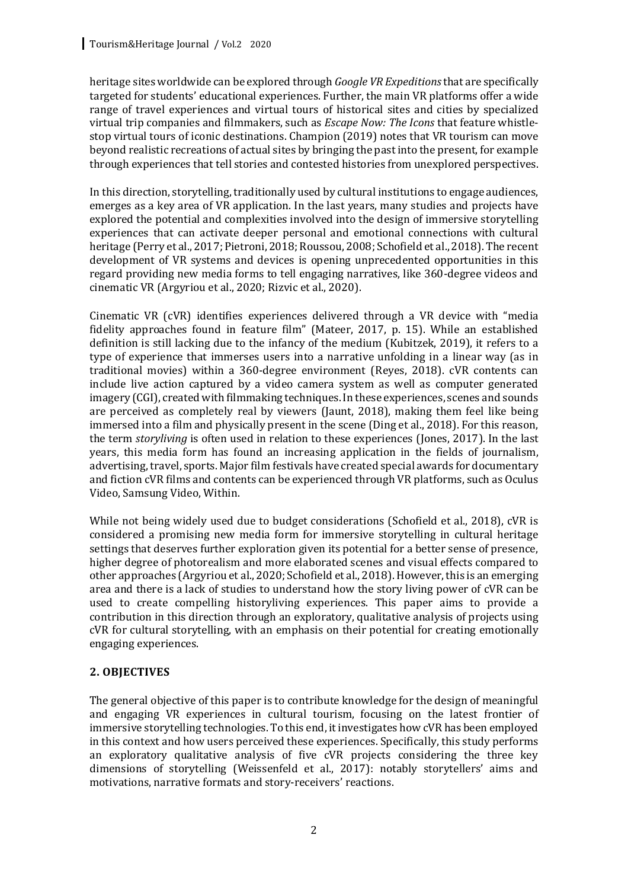heritage sites worldwide can be explored through *Google VR Expeditions* that are specifically targeted for students' educational experiences. Further, the main VR platforms offer a wide range of travel experiences and virtual tours of historical sites and cities by specialized virtual trip companies and filmmakers, such as *Escape Now: The Icons* that feature whistlestop virtual tours of iconic destinations. Champion (2019) notes that VR tourism can move beyond realistic recreations of actual sites by bringing the past into the present, for example through experiences that tell stories and contested histories from unexplored perspectives.

In this direction, storytelling, traditionally used by cultural institutions to engage audiences, emerges as a key area of VR application. In the last years, many studies and projects have explored the potential and complexities involved into the design of immersive storytelling experiences that can activate deeper personal and emotional connections with cultural heritage (Perry et al., 2017; Pietroni, 2018; Roussou, 2008; Schofield et al., 2018). The recent development of VR systems and devices is opening unprecedented opportunities in this regard providing new media forms to tell engaging narratives, like 360-degree videos and cinematic VR (Argyriou et al., 2020; Rizvic et al., 2020).

Cinematic VR (cVR) identifies experiences delivered through a VR device with "media fidelity approaches found in feature film" (Mateer, 2017, p. 15). While an established definition is still lacking due to the infancy of the medium (Kubitzek, 2019), it refers to a type of experience that immerses users into a narrative unfolding in a linear way (as in traditional movies) within a 360-degree environment (Reves, 2018).  $\alpha$ VR contents can include live action captured by a video camera system as well as computer generated imagery (CGI), created with filmmaking techniques. In these experiences, scenes and sounds are perceived as completely real by viewers (Jaunt,  $2018$ ), making them feel like being immersed into a film and physically present in the scene (Ding et al., 2018). For this reason, the term *storyliving* is often used in relation to these experiences (Jones, 2017). In the last years, this media form has found an increasing application in the fields of journalism, advertising, travel, sports. Major film festivals have created special awards for documentary and fiction cVR films and contents can be experienced through VR platforms, such as Oculus Video, Samsung Video, Within.

While not being widely used due to budget considerations (Schofield et al., 2018), cVR is considered a promising new media form for immersive storytelling in cultural heritage settings that deserves further exploration given its potential for a better sense of presence, higher degree of photorealism and more elaborated scenes and visual effects compared to other approaches (Argyriou et al., 2020; Schofield et al., 2018). However, this is an emerging area and there is a lack of studies to understand how the story living power of cVR can be used to create compelling historyliving experiences. This paper aims to provide a contribution in this direction through an exploratory, qualitative analysis of projects using cVR for cultural storytelling, with an emphasis on their potential for creating emotionally engaging experiences.

### **2. OBJECTIVES**

The general objective of this paper is to contribute knowledge for the design of meaningful and engaging VR experiences in cultural tourism, focusing on the latest frontier of immersive storytelling technologies. To this end, it investigates how cVR has been employed in this context and how users perceived these experiences. Specifically, this study performs an exploratory qualitative analysis of five cVR projects considering the three key dimensions of storytelling (Weissenfeld et al., 2017): notably storytellers' aims and motivations, narrative formats and story-receivers' reactions.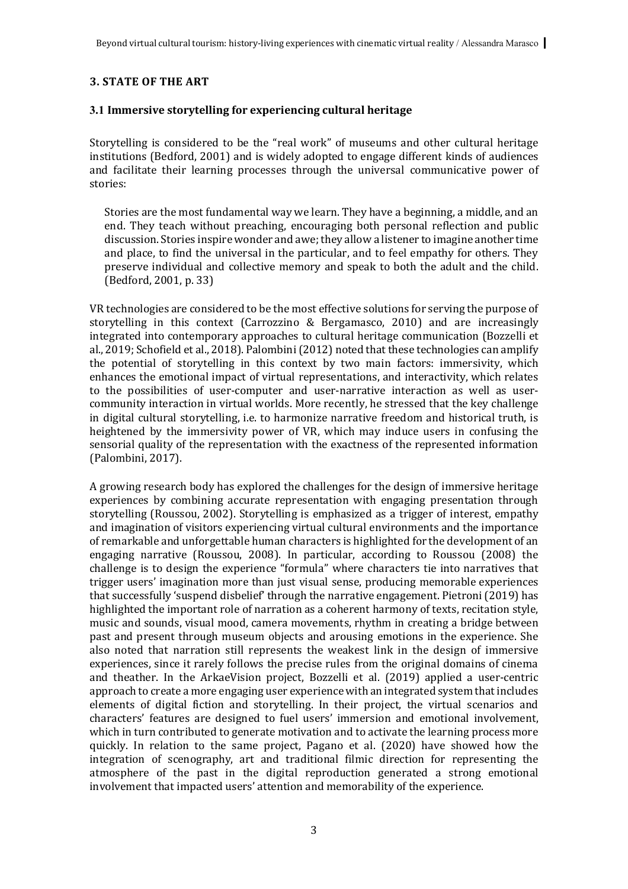# **3. STATE OF THE ART**

### **3.1 Immersive storytelling for experiencing cultural heritage**

Storytelling is considered to be the "real work" of museums and other cultural heritage institutions (Bedford, 2001) and is widely adopted to engage different kinds of audiences and facilitate their learning processes through the universal communicative power of stories:

Stories are the most fundamental way we learn. They have a beginning, a middle, and an end. They teach without preaching, encouraging both personal reflection and public discussion. Stories inspire wonder and awe; they allow a listener to imagine another time and place, to find the universal in the particular, and to feel empathy for others. They preserve individual and collective memory and speak to both the adult and the child. (Bedford, 2001, p. 33)

VR technologies are considered to be the most effective solutions for serving the purpose of storytelling in this context (Carrozzino  $\&$  Bergamasco, 2010) and are increasingly integrated into contemporary approaches to cultural heritage communication (Bozzelli et al., 2019; Schofield et al., 2018). Palombini (2012) noted that these technologies can amplify the potential of storytelling in this context by two main factors: immersivity, which enhances the emotional impact of virtual representations, and interactivity, which relates to the possibilities of user-computer and user-narrative interaction as well as usercommunity interaction in virtual worlds. More recently, he stressed that the key challenge in digital cultural storytelling, i.e. to harmonize narrative freedom and historical truth, is heightened by the immersivity power of VR, which may induce users in confusing the sensorial quality of the representation with the exactness of the represented information (Palombini, 2017).

A growing research body has explored the challenges for the design of immersive heritage experiences by combining accurate representation with engaging presentation through storytelling (Roussou, 2002). Storytelling is emphasized as a trigger of interest, empathy and imagination of visitors experiencing virtual cultural environments and the importance of remarkable and unforgettable human characters is highlighted for the development of an engaging narrative (Roussou, 2008). In particular, according to Roussou (2008) the challenge is to design the experience "formula" where characters tie into narratives that trigger users' imagination more than just visual sense, producing memorable experiences that successfully 'suspend disbelief' through the narrative engagement. Pietroni (2019) has highlighted the important role of narration as a coherent harmony of texts, recitation style, music and sounds, visual mood, camera movements, rhythm in creating a bridge between past and present through museum objects and arousing emotions in the experience. She also noted that narration still represents the weakest link in the design of immersive experiences, since it rarely follows the precise rules from the original domains of cinema and theather. In the ArkaeVision project, Bozzelli et al. (2019) applied a user-centric approach to create a more engaging user experience with an integrated system that includes elements of digital fiction and storytelling. In their project, the virtual scenarios and characters' features are designed to fuel users' immersion and emotional involvement, which in turn contributed to generate motivation and to activate the learning process more quickly. In relation to the same project, Pagano et al. (2020) have showed how the integration of scenography, art and traditional filmic direction for representing the atmosphere of the past in the digital reproduction generated a strong emotional involvement that impacted users' attention and memorability of the experience.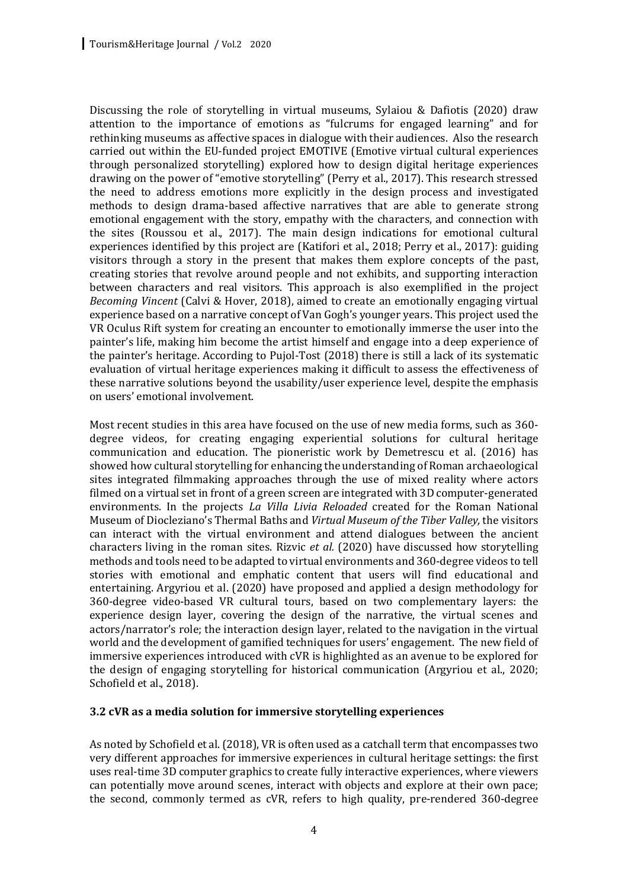Discussing the role of storytelling in virtual museums, Sylaiou & Dafiotis  $(2020)$  draw attention to the importance of emotions as "fulcrums for engaged learning" and for rethinking museums as affective spaces in dialogue with their audiences. Also the research carried out within the EU-funded project EMOTIVE (Emotive virtual cultural experiences through personalized storytelling) explored how to design digital heritage experiences drawing on the power of "emotive storytelling" (Perry et al., 2017). This research stressed the need to address emotions more explicitly in the design process and investigated methods to design drama-based affective narratives that are able to generate strong emotional engagement with the story, empathy with the characters, and connection with the sites (Roussou et al., 2017). The main design indications for emotional cultural experiences identified by this project are (Katifori et al., 2018; Perry et al., 2017): guiding visitors through a story in the present that makes them explore concepts of the past, creating stories that revolve around people and not exhibits, and supporting interaction between characters and real visitors. This approach is also exemplified in the project *Becoming Vincent* (Calvi & Hover, 2018), aimed to create an emotionally engaging virtual experience based on a narrative concept of Van Gogh's younger years. This project used the VR Oculus Rift system for creating an encounter to emotionally immerse the user into the painter's life, making him become the artist himself and engage into a deep experience of the painter's heritage. According to Pujol-Tost  $(2018)$  there is still a lack of its systematic evaluation of virtual heritage experiences making it difficult to assess the effectiveness of these narrative solutions beyond the usability/user experience level, despite the emphasis on users' emotional involvement.

Most recent studies in this area have focused on the use of new media forms, such as 360degree videos, for creating engaging experiential solutions for cultural heritage communication and education. The pioneristic work by Demetrescu et al. (2016) has showed how cultural storytelling for enhancing the understanding of Roman archaeological sites integrated filmmaking approaches through the use of mixed reality where actors filmed on a virtual set in front of a green screen are integrated with 3D computer-generated environments. In the projects *La Villa Livia Reloaded* created for the Roman National Museum of Diocleziano's Thermal Baths and *Virtual Museum of the Tiber Valley*, the visitors can interact with the virtual environment and attend dialogues between the ancient characters living in the roman sites. Rizvic *et al.* (2020) have discussed how storytelling methods and tools need to be adapted to virtual environments and 360-degree videos to tell stories with emotional and emphatic content that users will find educational and entertaining. Argyriou et al. (2020) have proposed and applied a design methodology for 360-degree video-based VR cultural tours, based on two complementary layers: the experience design layer, covering the design of the narrative, the virtual scenes and actors/narrator's role; the interaction design layer, related to the navigation in the virtual world and the development of gamified techniques for users' engagement. The new field of immersive experiences introduced with cVR is highlighted as an avenue to be explored for the design of engaging storytelling for historical communication (Argyriou et al.,  $2020$ ; Schofield et al., 2018).

### **3.2 cVR as a media solution for immersive storytelling experiences**

As noted by Schofield et al. (2018), VR is often used as a catchall term that encompasses two very different approaches for immersive experiences in cultural heritage settings; the first uses real-time 3D computer graphics to create fully interactive experiences, where viewers can potentially move around scenes, interact with objects and explore at their own pace; the second, commonly termed as cVR, refers to high quality, pre-rendered 360-degree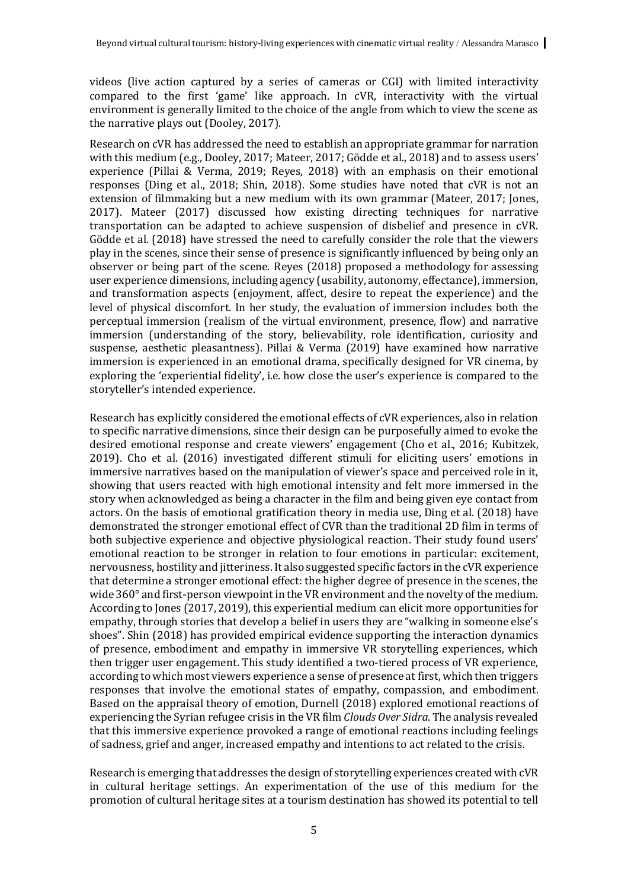videos (live action captured by a series of cameras or CGI) with limited interactivity compared to the first 'game' like approach. In cVR, interactivity with the virtual environment is generally limited to the choice of the angle from which to view the scene as the narrative plays out (Dooley, 2017).

Research on cVR has addressed the need to establish an appropriate grammar for narration with this medium (e.g., Dooley, 2017; Mateer, 2017; Gödde et al., 2018) and to assess users' experience (Pillai  $\&$  Verma, 2019; Reves, 2018) with an emphasis on their emotional responses (Ding et al., 2018; Shin, 2018). Some studies have noted that cVR is not an extension of filmmaking but a new medium with its own grammar (Mateer, 2017; Jones, 2017). Mateer (2017) discussed how existing directing techniques for narrative transportation can be adapted to achieve suspension of disbelief and presence in cVR. Gödde et al. (2018) have stressed the need to carefully consider the role that the viewers play in the scenes, since their sense of presence is significantly influenced by being only an observer or being part of the scene. Reyes  $(2018)$  proposed a methodology for assessing user experience dimensions, including agency (usability, autonomy, effectance), immersion, and transformation aspects (enjoyment, affect, desire to repeat the experience) and the level of physical discomfort. In her study, the evaluation of immersion includes both the perceptual immersion (realism of the virtual environment, presence, flow) and narrative immersion (understanding of the story, believability, role identification, curiosity and suspense, aesthetic pleasantness). Pillai & Verma (2019) have examined how narrative immersion is experienced in an emotional drama, specifically designed for VR cinema, by exploring the 'experiential fidelity', i.e. how close the user's experience is compared to the storyteller's intended experience.

Research has explicitly considered the emotional effects of cVR experiences, also in relation to specific narrative dimensions, since their design can be purposefully aimed to evoke the desired emotional response and create viewers' engagement (Cho et al., 2016; Kubitzek, 2019). Cho et al. (2016) investigated different stimuli for eliciting users' emotions in immersive narratives based on the manipulation of viewer's space and perceived role in it, showing that users reacted with high emotional intensity and felt more immersed in the story when acknowledged as being a character in the film and being given eye contact from actors. On the basis of emotional gratification theory in media use, Ding et al. (2018) have demonstrated the stronger emotional effect of CVR than the traditional 2D film in terms of both subjective experience and objective physiological reaction. Their study found users' emotional reaction to be stronger in relation to four emotions in particular: excitement, nervousness, hostility and jitteriness. It also suggested specific factors in the cVR experience that determine a stronger emotional effect: the higher degree of presence in the scenes, the wide  $360^\circ$  and first-person viewpoint in the VR environment and the novelty of the medium. According to Jones (2017, 2019), this experiential medium can elicit more opportunities for empathy, through stories that develop a belief in users they are "walking in someone else's shoes". Shin (2018) has provided empirical evidence supporting the interaction dynamics of presence, embodiment and empathy in immersive VR storytelling experiences, which then trigger user engagement. This study identified a two-tiered process of VR experience, according to which most viewers experience a sense of presence at first, which then triggers responses that involve the emotional states of empathy, compassion, and embodiment. Based on the appraisal theory of emotion, Durnell (2018) explored emotional reactions of experiencing the Syrian refugee crisis in the VR film *Clouds Over Sidra*. The analysis revealed that this immersive experience provoked a range of emotional reactions including feelings of sadness, grief and anger, increased empathy and intentions to act related to the crisis.

Research is emerging that addresses the design of storytelling experiences created with cVR in cultural heritage settings. An experimentation of the use of this medium for the promotion of cultural heritage sites at a tourism destination has showed its potential to tell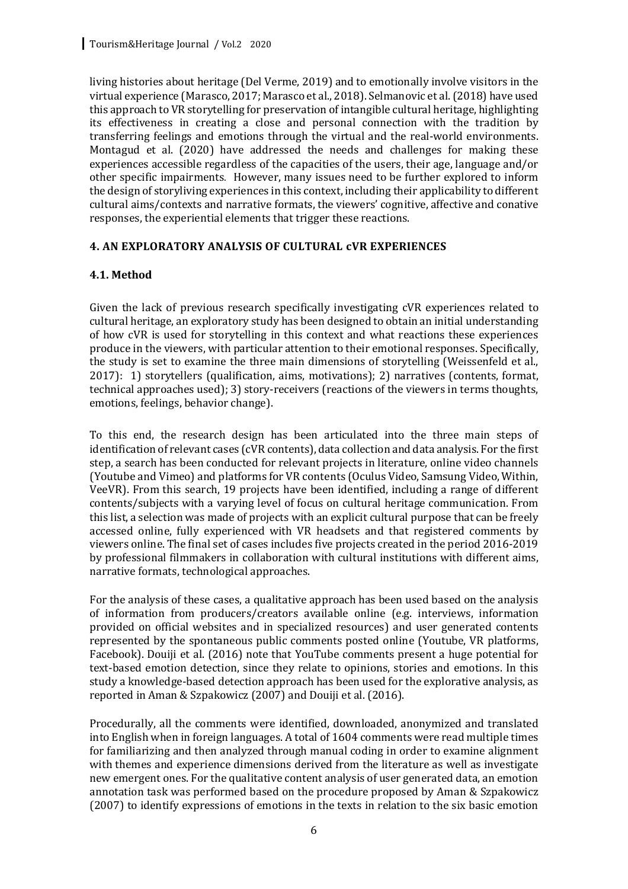living histories about heritage (Del Verme, 2019) and to emotionally involve visitors in the virtual experience (Marasco, 2017; Marasco et al., 2018). Selmanovic et al. (2018) have used this approach to VR storytelling for preservation of intangible cultural heritage, highlighting its effectiveness in creating a close and personal connection with the tradition by transferring feelings and emotions through the virtual and the real-world environments. Montagud et al. (2020) have addressed the needs and challenges for making these experiences accessible regardless of the capacities of the users, their age, language and/or other specific impairments. However, many issues need to be further explored to inform the design of storyliving experiences in this context, including their applicability to different cultural aims/contexts and narrative formats, the viewers' cognitive, affective and conative responses, the experiential elements that trigger these reactions.

### **4. AN EXPLORATORY ANALYSIS OF CULTURAL cVR EXPERIENCES**

### **4.1. Method**

Given the lack of previous research specifically investigating cVR experiences related to cultural heritage, an exploratory study has been designed to obtain an initial understanding of how cVR is used for storytelling in this context and what reactions these experiences produce in the viewers, with particular attention to their emotional responses. Specifically, the study is set to examine the three main dimensions of storytelling (Weissenfeld et al., 2017): 1) storytellers (qualification, aims, motivations); 2) narratives (contents, format, technical approaches used); 3) story-receivers (reactions of the viewers in terms thoughts, emotions, feelings, behavior change).

To this end, the research design has been articulated into the three main steps of identification of relevant cases (cVR contents), data collection and data analysis. For the first step, a search has been conducted for relevant projects in literature, online video channels (Youtube and Vimeo) and platforms for VR contents (Oculus Video, Samsung Video, Within, VeeVR). From this search, 19 projects have been identified, including a range of different contents/subjects with a varying level of focus on cultural heritage communication. From this list, a selection was made of projects with an explicit cultural purpose that can be freely accessed online, fully experienced with VR headsets and that registered comments by viewers online. The final set of cases includes five projects created in the period 2016-2019 by professional filmmakers in collaboration with cultural institutions with different aims, narrative formats, technological approaches.

For the analysis of these cases, a qualitative approach has been used based on the analysis of information from producers/creators available online (e.g. interviews, information provided on official websites and in specialized resources) and user generated contents represented by the spontaneous public comments posted online (Youtube, VR platforms, Facebook). Douiji et al. (2016) note that YouTube comments present a huge potential for text-based emotion detection, since they relate to opinions, stories and emotions. In this study a knowledge-based detection approach has been used for the explorative analysis, as reported in Aman & Szpakowicz (2007) and Douiji et al. (2016).

Procedurally, all the comments were identified, downloaded, anonymized and translated into English when in foreign languages. A total of  $1604$  comments were read multiple times for familiarizing and then analyzed through manual coding in order to examine alignment with themes and experience dimensions derived from the literature as well as investigate new emergent ones. For the qualitative content analysis of user generated data, an emotion annotation task was performed based on the procedure proposed by Aman & Szpakowicz  $(2007)$  to identify expressions of emotions in the texts in relation to the six basic emotion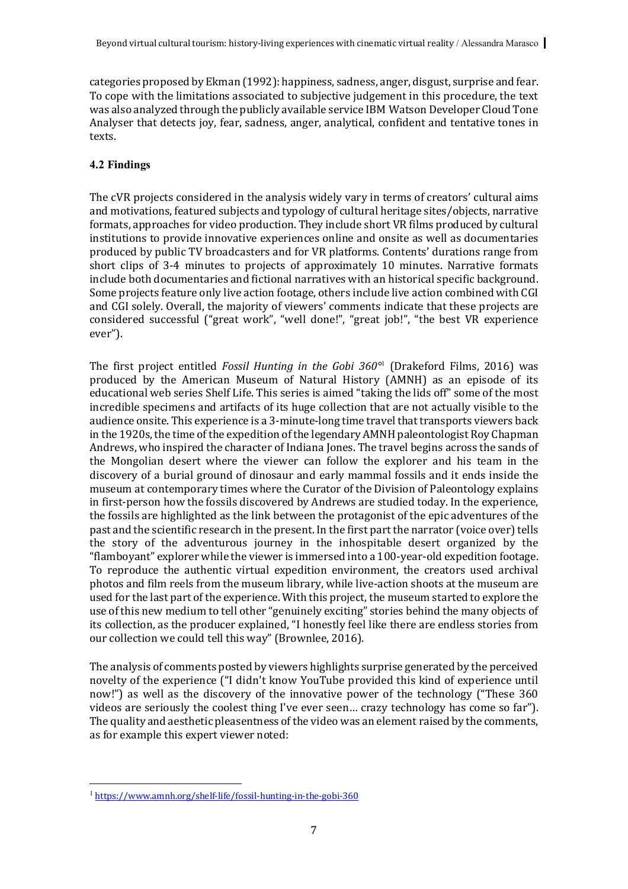categories proposed by Ekman (1992): happiness, sadness, anger, disgust, surprise and fear. To cope with the limitations associated to subjective judgement in this procedure, the text was also analyzed through the publicly available service IBM Watson Developer Cloud Tone Analyser that detects joy, fear, sadness, anger, analytical, confident and tentative tones in texts.

## **4.2 Findings**

The cVR projects considered in the analysis widely vary in terms of creators' cultural aims and motivations, featured subjects and typology of cultural heritage sites/objects, narrative formats, approaches for video production. They include short VR films produced by cultural institutions to provide innovative experiences online and onsite as well as documentaries produced by public TV broadcasters and for VR platforms. Contents' durations range from short clips of 3-4 minutes to projects of approximately 10 minutes. Narrative formats include both documentaries and fictional narratives with an historical specific background. Some projects feature only live action footage, others include live action combined with CGI and CGI solely. Overall, the majority of viewers' comments indicate that these projects are considered successful ("great work", "well done!", "great job!", "the best VR experience ever").

The first project entitled *Fossil Hunting in the Gobi 360<sup>°1</sup>* (Drakeford Films, 2016) was produced by the American Museum of Natural History (AMNH) as an episode of its educational web series Shelf Life. This series is aimed "taking the lids off" some of the most incredible specimens and artifacts of its huge collection that are not actually visible to the audience onsite. This experience is a 3-minute-long time travel that transports viewers back in the 1920s, the time of the expedition of the legendary AMNH paleontologist  $Row$  Chapman Andrews, who inspired the character of Indiana Jones. The travel begins across the sands of the Mongolian desert where the viewer can follow the explorer and his team in the discovery of a burial ground of dinosaur and early mammal fossils and it ends inside the museum at contemporary times where the Curator of the Division of Paleontology explains in first-person how the fossils discovered by Andrews are studied today. In the experience, the fossils are highlighted as the link between the protagonist of the epic adventures of the past and the scientific research in the present. In the first part the narrator (voice over) tells the story of the adventurous journey in the inhospitable desert organized by the "flamboyant" explorer while the viewer is immersed into a 100-year-old expedition footage. To reproduce the authentic virtual expedition environment, the creators used archival photos and film reels from the museum library, while live-action shoots at the museum are used for the last part of the experience. With this project, the museum started to explore the use of this new medium to tell other "genuinely exciting" stories behind the many objects of its collection, as the producer explained, "I honestly feel like there are endless stories from our collection we could tell this way" (Brownlee, 2016).

The analysis of comments posted by viewers highlights surprise generated by the perceived novelty of the experience ("I didn't know YouTube provided this kind of experience until now!") as well as the discovery of the innovative power of the technology ("These 360 videos are seriously the coolest thing I've ever seen... crazy technology has come so far"). The quality and aesthetic pleasentness of the video was an element raised by the comments, as for example this expert viewer noted:

 <sup>1</sup> https://www.amnh.org/shelf-life/fossil-hunting-in-the-gobi-360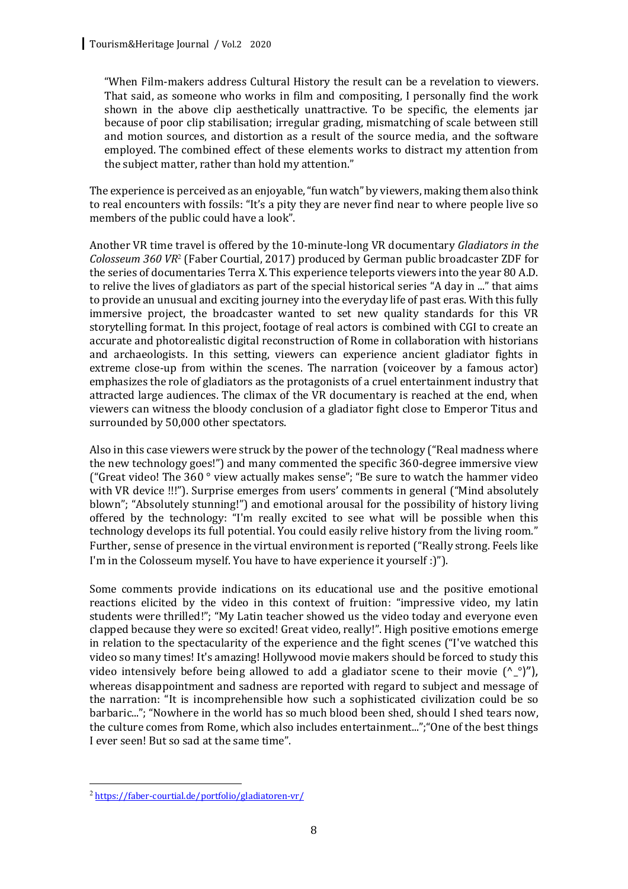"When Film-makers address Cultural History the result can be a revelation to viewers. That said, as someone who works in film and compositing, I personally find the work shown in the above clip aesthetically unattractive. To be specific, the elements jar because of poor clip stabilisation; irregular grading, mismatching of scale between still and motion sources, and distortion as a result of the source media, and the software employed. The combined effect of these elements works to distract my attention from the subject matter, rather than hold my attention."

The experience is perceived as an enjoyable, "fun watch" by viewers, making them also think to real encounters with fossils: "It's a pity they are never find near to where people live so members of the public could have a look".

Another VR time travel is offered by the 10-minute-long VR documentary *Gladiators in the Colosseum 360 VR<sup>2</sup>* (Faber Courtial, 2017) produced by German public broadcaster ZDF for the series of documentaries Terra X. This experience teleports viewers into the year 80 A.D. to relive the lives of gladiators as part of the special historical series "A day in ..." that aims to provide an unusual and exciting journey into the everyday life of past eras. With this fully immersive project, the broadcaster wanted to set new quality standards for this VR storytelling format. In this project, footage of real actors is combined with CGI to create an accurate and photorealistic digital reconstruction of Rome in collaboration with historians and archaeologists. In this setting, viewers can experience ancient gladiator fights in extreme close-up from within the scenes. The narration (voiceover by a famous actor) emphasizes the role of gladiators as the protagonists of a cruel entertainment industry that attracted large audiences. The climax of the VR documentary is reached at the end, when viewers can witness the bloody conclusion of a gladiator fight close to Emperor Titus and surrounded by 50,000 other spectators.

Also in this case viewers were struck by the power of the technology ("Real madness where the new technology goes!") and many commented the specific 360-degree immersive view ("Great video! The  $360°$  view actually makes sense"; "Be sure to watch the hammer video with VR device !!!"). Surprise emerges from users' comments in general ("Mind absolutely blown"; "Absolutely stunning!") and emotional arousal for the possibility of history living offered by the technology: "I'm really excited to see what will be possible when this technology develops its full potential. You could easily relive history from the living room." Further, sense of presence in the virtual environment is reported ("Really strong. Feels like I'm in the Colosseum myself. You have to have experience it yourself :)").

Some comments provide indications on its educational use and the positive emotional reactions elicited by the video in this context of fruition: "impressive video, my latin students were thrilled!"; "My Latin teacher showed us the video today and everyone even clapped because they were so excited! Great video, really!". High positive emotions emerge in relation to the spectacularity of the experience and the fight scenes ("I've watched this video so many times! It's amazing! Hollywood movie makers should be forced to study this video intensively before being allowed to add a gladiator scene to their movie  $({}^{\wedge}{}_{-}^{\circ})''$ ), whereas disappointment and sadness are reported with regard to subject and message of the narration: "It is incomprehensible how such a sophisticated civilization could be so barbaric..."; "Nowhere in the world has so much blood been shed, should I shed tears now, the culture comes from Rome, which also includes entertainment..."; "One of the best things I ever seen! But so sad at the same time".

 <sup>2</sup> https://faber-courtial.de/portfolio/gladiatoren-vr/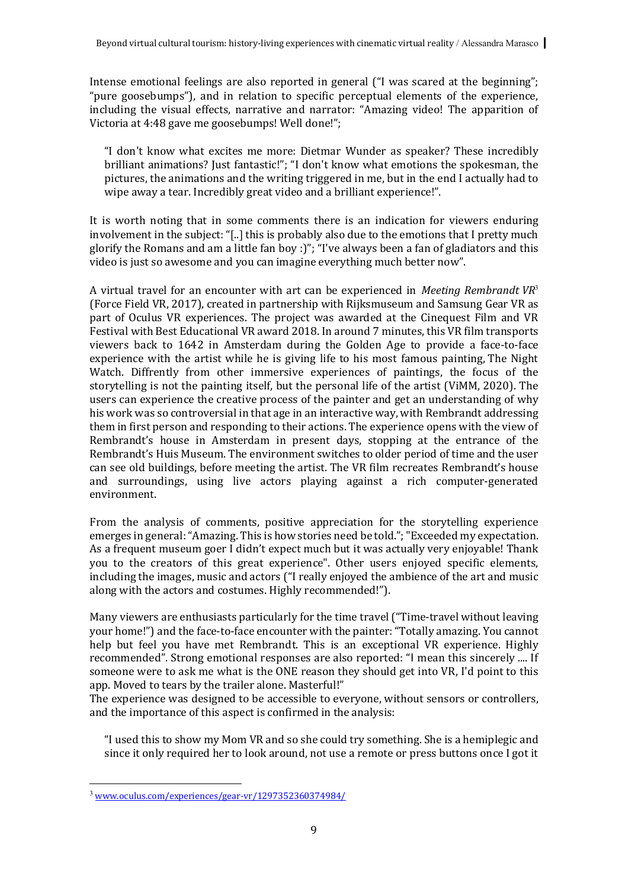Intense emotional feelings are also reported in general ("I was scared at the beginning"; "pure goosebumps"), and in relation to specific perceptual elements of the experience, including the visual effects, narrative and narrator: "Amazing video! The apparition of Victoria at 4:48 gave me goosebumps! Well done!":

"I don't know what excites me more: Dietmar Wunder as speaker? These incredibly brilliant animations? Just fantastic!"; "I don't know what emotions the spokesman, the pictures, the animations and the writing triggered in me, but in the end I actually had to wipe away a tear. Incredibly great video and a brilliant experience!".

It is worth noting that in some comments there is an indication for viewers enduring involvement in the subject: "[..] this is probably also due to the emotions that I pretty much glorify the Romans and am a little fan boy :)"; "I've always been a fan of gladiators and this video is just so awesome and you can imagine everything much better now".

A virtual travel for an encounter with art can be experienced in *Meeting Rembrandt*  $VR<sup>3</sup>$ (Force Field VR, 2017), created in partnership with Rijksmuseum and Samsung Gear VR as part of Oculus VR experiences. The project was awarded at the Cinequest Film and VR Festival with Best Educational VR award 2018. In around 7 minutes, this VR film transports viewers back to 1642 in Amsterdam during the Golden Age to provide a face-to-face experience with the artist while he is giving life to his most famous painting, The Night Watch. Diffrently from other immersive experiences of paintings, the focus of the storytelling is not the painting itself, but the personal life of the artist (ViMM, 2020). The users can experience the creative process of the painter and get an understanding of why his work was so controversial in that age in an interactive way, with Rembrandt addressing them in first person and responding to their actions. The experience opens with the view of Rembrandt's house in Amsterdam in present days, stopping at the entrance of the Rembrandt's Huis Museum. The environment switches to older period of time and the user can see old buildings, before meeting the artist. The VR film recreates Rembrandt's house and surroundings, using live actors playing against a rich computer-generated environment. 

From the analysis of comments, positive appreciation for the storytelling experience emerges in general: "Amazing. This is how stories need be told."; "Exceeded my expectation. As a frequent museum goer  $\overline{I}$  didn't expect much but it was actually very enjoyable! Thank you to the creators of this great experience". Other users enjoyed specific elements, including the images, music and actors ("I really enjoyed the ambience of the art and music along with the actors and costumes. Highly recommended!").

Many viewers are enthusiasts particularly for the time travel ("Time-travel without leaving your home!") and the face-to-face encounter with the painter: "Totally amazing. You cannot help but feel you have met Rembrandt. This is an exceptional VR experience. Highly recommended". Strong emotional responses are also reported: "I mean this sincerely .... If someone were to ask me what is the ONE reason they should get into VR, I'd point to this app. Moved to tears by the trailer alone. Masterful!"

The experience was designed to be accessible to everyone, without sensors or controllers, and the importance of this aspect is confirmed in the analysis:

"I used this to show my Mom VR and so she could try something. She is a hemiplegic and since it only required her to look around, not use a remote or press buttons once I got it

 <sup>3</sup> www.oculus.com/experiences/gear-vr/1297352360374984/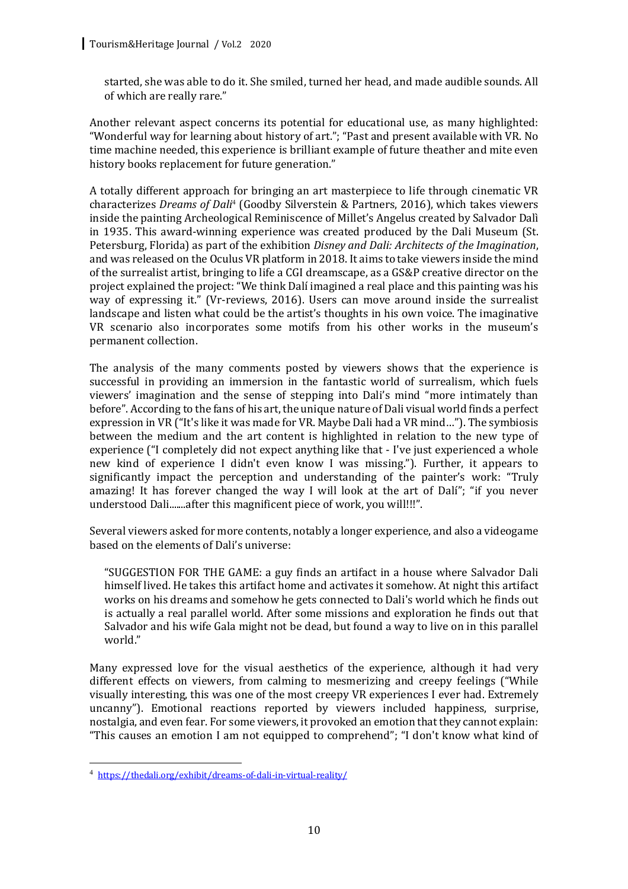started, she was able to do it. She smiled, turned her head, and made audible sounds. All of which are really rare."

Another relevant aspect concerns its potential for educational use, as many highlighted: "Wonderful way for learning about history of art."; "Past and present available with VR. No time machine needed, this experience is brilliant example of future theather and mite even history books replacement for future generation."

A totally different approach for bringing an art masterpiece to life through cinematic VR characterizes *Dreams of Dali<sup>4</sup>* (Goodby Silverstein & Partners, 2016), which takes viewers inside the painting Archeological Reminiscence of Millet's Angelus created by Salvador Dalì in 1935. This award-winning experience was created produced by the Dali Museum (St. Petersburg, Florida) as part of the exhibition *Disney and Dali: Architects of the Imagination*, and was released on the Oculus VR platform in 2018. It aims to take viewers inside the mind of the surrealist artist, bringing to life a CGI dreamscape, as a GS&P creative director on the project explained the project: "We think Dalí imagined a real place and this painting was his way of expressing it." (Vr-reviews, 2016). Users can move around inside the surrealist landscape and listen what could be the artist's thoughts in his own voice. The imaginative VR scenario also incorporates some motifs from his other works in the museum's permanent collection.

The analysis of the many comments posted by viewers shows that the experience is successful in providing an immersion in the fantastic world of surrealism, which fuels viewers' imagination and the sense of stepping into Dali's mind "more intimately than before". According to the fans of his art, the unique nature of Dali visual world finds a perfect expression in VR ("It's like it was made for VR. Maybe Dali had a VR mind..."). The symbiosis between the medium and the art content is highlighted in relation to the new type of experience ("I completely did not expect anything like that - I've just experienced a whole new kind of experience I didn't even know I was missing."). Further, it appears to significantly impact the perception and understanding of the painter's work: "Truly amazing! It has forever changed the way I will look at the art of Dalí"; "if you never understood Dali.......after this magnificent piece of work, you will!!!".

Several viewers asked for more contents, notably a longer experience, and also a videogame based on the elements of Dali's universe:

"SUGGESTION FOR THE GAME: a guy finds an artifact in a house where Salvador Dali himself lived. He takes this artifact home and activates it somehow. At night this artifact works on his dreams and somehow he gets connected to Dali's world which he finds out is actually a real parallel world. After some missions and exploration he finds out that Salvador and his wife Gala might not be dead, but found a way to live on in this parallel world."

Many expressed love for the visual aesthetics of the experience, although it had very different effects on viewers, from calming to mesmerizing and creepy feelings ("While visually interesting, this was one of the most creepy VR experiences I ever had. Extremely uncanny"). Emotional reactions reported by viewers included happiness, surprise, nostalgia, and even fear. For some viewers, it provoked an emotion that they cannot explain: "This causes an emotion I am not equipped to comprehend"; "I don't know what kind of

 <sup>4</sup> https://thedali.org/exhibit/dreams-of-dali-in-virtual-reality/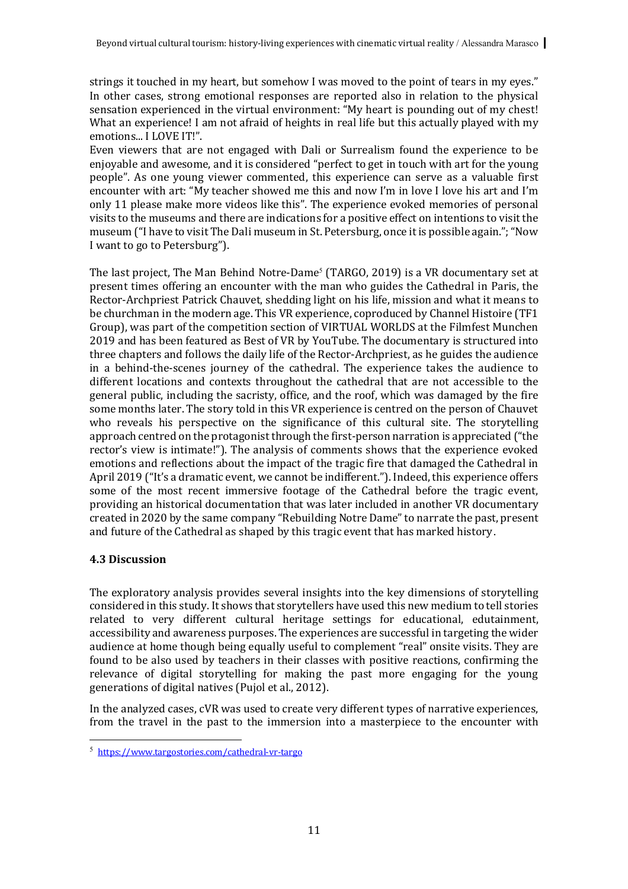strings it touched in my heart, but somehow I was moved to the point of tears in my eyes." In other cases, strong emotional responses are reported also in relation to the physical sensation experienced in the virtual environment: "My heart is pounding out of my chest! What an experience! I am not afraid of heights in real life but this actually played with my emotions... I LOVE IT!".

Even viewers that are not engaged with Dali or Surrealism found the experience to be enjoyable and awesome, and it is considered "perfect to get in touch with art for the young people". As one young viewer commented, this experience can serve as a valuable first encounter with art: "My teacher showed me this and now I'm in love I love his art and I'm only 11 please make more videos like this". The experience evoked memories of personal visits to the museums and there are indications for a positive effect on intentions to visit the museum ("I have to visit The Dali museum in St. Petersburg, once it is possible again."; "Now I want to go to Petersburg").

The last project, The Man Behind Notre-Dame<sup>5</sup> (TARGO, 2019) is a VR documentary set at present times offering an encounter with the man who guides the Cathedral in Paris, the Rector-Archpriest Patrick Chauvet, shedding light on his life, mission and what it means to be churchman in the modern age. This VR experience, coproduced by Channel Histoire (TF1 Group), was part of the competition section of VIRTUAL WORLDS at the Filmfest Munchen 2019 and has been featured as Best of VR by YouTube. The documentary is structured into three chapters and follows the daily life of the Rector-Archpriest, as he guides the audience in a behind-the-scenes journey of the cathedral. The experience takes the audience to different locations and contexts throughout the cathedral that are not accessible to the general public, including the sacristy, office, and the roof, which was damaged by the fire some months later. The story told in this VR experience is centred on the person of Chauvet who reveals his perspective on the significance of this cultural site. The storytelling approach centred on the protagonist through the first-person narration is appreciated ("the rector's view is intimate!"). The analysis of comments shows that the experience evoked emotions and reflections about the impact of the tragic fire that damaged the Cathedral in April 2019 ("It's a dramatic event, we cannot be indifferent."). Indeed, this experience offers some of the most recent immersive footage of the Cathedral before the tragic event, providing an historical documentation that was later included in another VR documentary created in 2020 by the same company "Rebuilding Notre Dame" to narrate the past, present and future of the Cathedral as shaped by this tragic event that has marked history.

### **4.3 Discussion**

The exploratory analysis provides several insights into the key dimensions of storytelling considered in this study. It shows that storytellers have used this new medium to tell stories related to very different cultural heritage settings for educational, edutainment, accessibility and awareness purposes. The experiences are successful in targeting the wider audience at home though being equally useful to complement "real" onsite visits. They are found to be also used by teachers in their classes with positive reactions, confirming the relevance of digital storytelling for making the past more engaging for the young generations of digital natives (Pujol et al., 2012).

In the analyzed cases, cVR was used to create very different types of narrative experiences, from the travel in the past to the immersion into a masterpiece to the encounter with

 <sup>5</sup> https://www.targostories.com/cathedral-vr-targo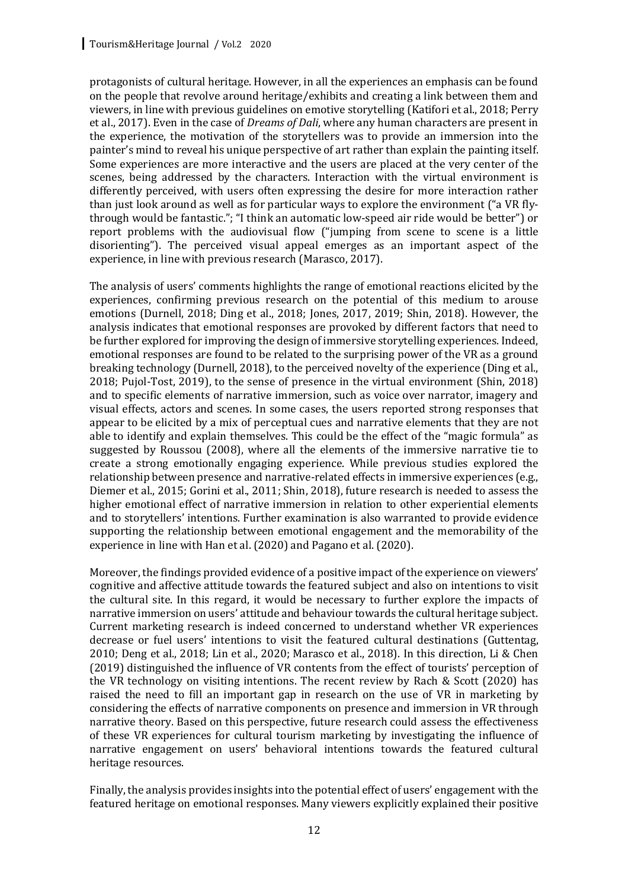protagonists of cultural heritage. However, in all the experiences an emphasis can be found on the people that revolve around heritage/exhibits and creating a link between them and viewers, in line with previous guidelines on emotive storytelling (Katifori et al., 2018; Perry et al., 2017). Even in the case of *Dreams of Dali*, where any human characters are present in the experience, the motivation of the storytellers was to provide an immersion into the painter's mind to reveal his unique perspective of art rather than explain the painting itself. Some experiences are more interactive and the users are placed at the very center of the scenes, being addressed by the characters. Interaction with the virtual environment is differently perceived, with users often expressing the desire for more interaction rather than just look around as well as for particular ways to explore the environment ("a VR flythrough would be fantastic."; "I think an automatic low-speed air ride would be better") or report problems with the audiovisual flow ("jumping from scene to scene is a little disorienting"). The perceived visual appeal emerges as an important aspect of the experience, in line with previous research (Marasco, 2017).

The analysis of users' comments highlights the range of emotional reactions elicited by the experiences, confirming previous research on the potential of this medium to arouse emotions (Durnell, 2018; Ding et al., 2018; Jones, 2017, 2019; Shin, 2018). However, the analysis indicates that emotional responses are provoked by different factors that need to be further explored for improving the design of immersive storytelling experiences. Indeed, emotional responses are found to be related to the surprising power of the VR as a ground breaking technology (Durnell, 2018), to the perceived novelty of the experience (Ding et al., 2018; Pujol-Tost, 2019), to the sense of presence in the virtual environment (Shin, 2018) and to specific elements of narrative immersion, such as voice over narrator, imagery and visual effects, actors and scenes. In some cases, the users reported strong responses that appear to be elicited by a mix of perceptual cues and narrative elements that they are not able to identify and explain themselves. This could be the effect of the "magic formula" as suggested by Roussou (2008), where all the elements of the immersive narrative tie to create a strong emotionally engaging experience. While previous studies explored the relationship between presence and narrative-related effects in immersive experiences (e.g., Diemer et al., 2015; Gorini et al., 2011; Shin, 2018), future research is needed to assess the higher emotional effect of narrative immersion in relation to other experiential elements and to storytellers' intentions. Further examination is also warranted to provide evidence supporting the relationship between emotional engagement and the memorability of the experience in line with Han et al. (2020) and Pagano et al. (2020).

Moreover, the findings provided evidence of a positive impact of the experience on viewers' cognitive and affective attitude towards the featured subject and also on intentions to visit the cultural site. In this regard, it would be necessary to further explore the impacts of narrative immersion on users' attitude and behaviour towards the cultural heritage subject. Current marketing research is indeed concerned to understand whether VR experiences decrease or fuel users' intentions to visit the featured cultural destinations (Guttentag,  $2010$ ; Deng et al.,  $2018$ ; Lin et al.,  $2020$ ; Marasco et al.,  $2018$ ). In this direction, Li & Chen (2019) distinguished the influence of VR contents from the effect of tourists' perception of the VR technology on visiting intentions. The recent review by Rach & Scott (2020) has raised the need to fill an important gap in research on the use of VR in marketing by considering the effects of narrative components on presence and immersion in VR through narrative theory. Based on this perspective, future research could assess the effectiveness of these VR experiences for cultural tourism marketing by investigating the influence of narrative engagement on users' behavioral intentions towards the featured cultural heritage resources.

Finally, the analysis provides insights into the potential effect of users' engagement with the featured heritage on emotional responses. Many viewers explicitly explained their positive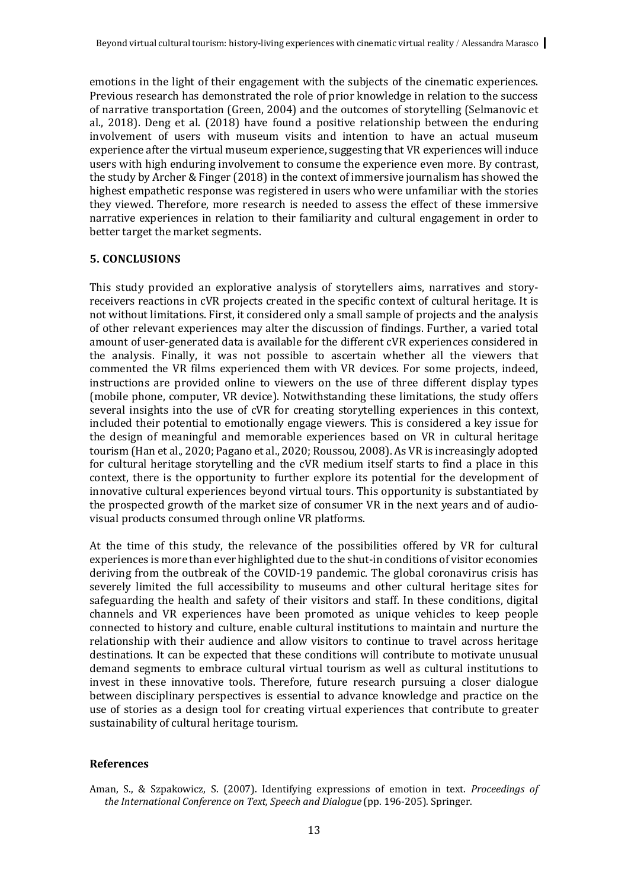emotions in the light of their engagement with the subjects of the cinematic experiences. Previous research has demonstrated the role of prior knowledge in relation to the success of narrative transportation (Green, 2004) and the outcomes of storytelling (Selmanovic et al.,  $2018$ ). Deng et al.  $(2018)$  have found a positive relationship between the enduring involvement of users with museum visits and intention to have an actual museum experience after the virtual museum experience, suggesting that VR experiences will induce users with high enduring involvement to consume the experience even more. By contrast, the study by Archer & Finger  $(2018)$  in the context of immersive journalism has showed the highest empathetic response was registered in users who were unfamiliar with the stories they viewed. Therefore, more research is needed to assess the effect of these immersive narrative experiences in relation to their familiarity and cultural engagement in order to better target the market segments.

#### **5. CONCLUSIONS**

This study provided an explorative analysis of storytellers aims, narratives and storyreceivers reactions in cVR projects created in the specific context of cultural heritage. It is not without limitations. First, it considered only a small sample of projects and the analysis of other relevant experiences may alter the discussion of findings. Further, a varied total amount of user-generated data is available for the different cVR experiences considered in the analysis. Finally, it was not possible to ascertain whether all the viewers that commented the VR films experienced them with VR devices. For some projects, indeed, instructions are provided online to viewers on the use of three different display types (mobile phone, computer, VR device). Notwithstanding these limitations, the study offers several insights into the use of cVR for creating storytelling experiences in this context, included their potential to emotionally engage viewers. This is considered a key issue for the design of meaningful and memorable experiences based on VR in cultural heritage tourism (Han et al., 2020; Pagano et al., 2020; Roussou, 2008). As VR is increasingly adopted for cultural heritage storytelling and the cVR medium itself starts to find a place in this context, there is the opportunity to further explore its potential for the development of innovative cultural experiences beyond virtual tours. This opportunity is substantiated by the prospected growth of the market size of consumer VR in the next years and of audiovisual products consumed through online VR platforms.

At the time of this study, the relevance of the possibilities offered by VR for cultural experiences is more than ever highlighted due to the shut-in conditions of visitor economies deriving from the outbreak of the COVID-19 pandemic. The global coronavirus crisis has severely limited the full accessibility to museums and other cultural heritage sites for safeguarding the health and safety of their visitors and staff. In these conditions, digital channels and VR experiences have been promoted as unique vehicles to keep people connected to history and culture, enable cultural institutions to maintain and nurture the relationship with their audience and allow visitors to continue to travel across heritage destinations. It can be expected that these conditions will contribute to motivate unusual demand segments to embrace cultural virtual tourism as well as cultural institutions to invest in these innovative tools. Therefore, future research pursuing a closer dialogue between disciplinary perspectives is essential to advance knowledge and practice on the use of stories as a design tool for creating virtual experiences that contribute to greater sustainability of cultural heritage tourism.

#### **References**

Aman, S., & Szpakowicz, S. (2007). Identifying expressions of emotion in text. *Proceedings of the International Conference on Text, Speech and Dialogue* (pp. 196-205). Springer.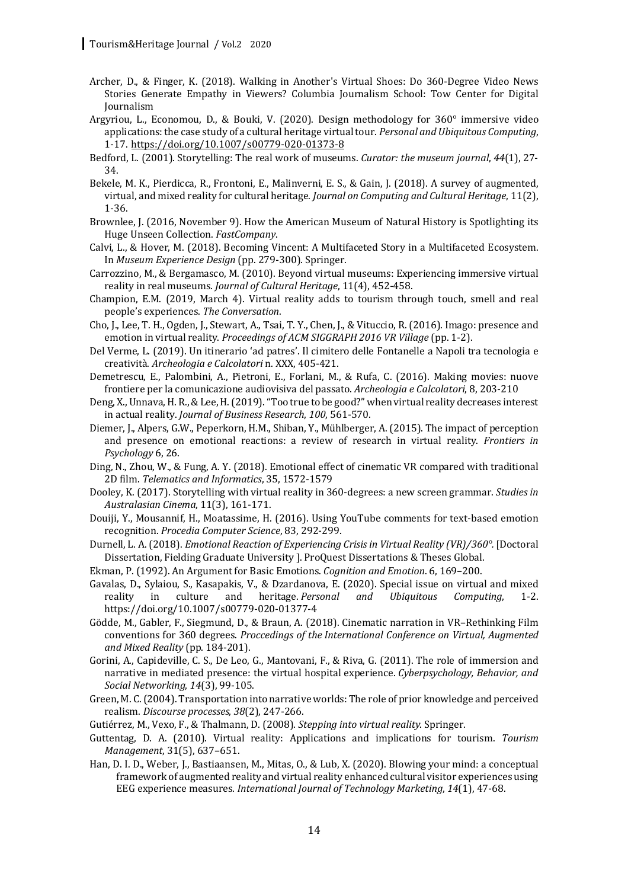- Archer, D., & Finger, K. (2018). Walking in Another's Virtual Shoes: Do 360-Degree Video News Stories Generate Empathy in Viewers? Columbia Journalism School: Tow Center for Digital Journalism
- Argyriou, L., Economou, D., & Bouki, V. (2020). Design methodology for 360° immersive video applications: the case study of a cultural heritage virtual tour. *Personal and Ubiquitous Computing*, 1-17. https://doi.org/10.1007/s00779-020-01373-8
- Bedford, L. (2001). Storytelling: The real work of museums. *Curator: the museum journal*, 44(1), 27-34.
- Bekele, M. K., Pierdicca, R., Frontoni, E., Malinverni, E. S., & Gain, J. (2018). A survey of augmented, virtual, and mixed reality for cultural heritage. *Journal on Computing and Cultural Heritage*, 11(2), 1-36.
- Brownlee, J. (2016, November 9). How the American Museum of Natural History is Spotlighting its Huge Unseen Collection. *FastCompany*.
- Calvi, L., & Hover, M. (2018). Becoming Vincent: A Multifaceted Story in a Multifaceted Ecosystem. In *Museum Experience Design* (pp. 279-300). Springer.
- Carrozzino, M., & Bergamasco, M. (2010). Beyond virtual museums: Experiencing immersive virtual reality in real museums. *Journal of Cultural Heritage*, 11(4), 452-458.
- Champion, E.M. (2019, March 4). Virtual reality adds to tourism through touch, smell and real people's experiences. *The Conversation*.
- Cho, J., Lee, T. H., Ogden, J., Stewart, A., Tsai, T. Y., Chen, J., & Vituccio, R. (2016). Imago: presence and emotion in virtual reality. *Proceedings of ACM SIGGRAPH 2016 VR Village* (pp. 1-2).
- Del Verme, L. (2019). Un itinerario 'ad patres'. Il cimitero delle Fontanelle a Napoli tra tecnologia e creatività. *Archeologia e Calcolatori* n. XXX, 405-421.
- Demetrescu, E., Palombini, A., Pietroni, E., Forlani, M., & Rufa, C. (2016). Making movies: nuove frontiere per la comunicazione audiovisiva del passato. *Archeologia e Calcolatori*, 8, 203-210
- Deng, X., Unnava, H. R., & Lee, H. (2019). "Too true to be good?" when virtual reality decreases interest in actual reality. *Journal of Business Research*, 100, 561-570.
- Diemer, J., Alpers, G.W., Peperkorn, H.M., Shiban, Y., Mühlberger, A. (2015). The impact of perception and presence on emotional reactions: a review of research in virtual reality. *Frontiers in* Psychology 6, 26.
- Ding, N., Zhou, W., & Fung, A. Y. (2018). Emotional effect of cinematic VR compared with traditional 2D film. *Telematics and Informatics*, 35, 1572-1579
- Dooley, K. (2017). Storytelling with virtual reality in 360-degrees: a new screen grammar. *Studies in Australasian Cinema*, 11(3), 161-171.
- Douiji, Y., Mousannif, H., Moatassime, H. (2016). Using YouTube comments for text-based emotion recognition. *Procedia Computer Science*, 83, 292-299.
- Durnell, L. A. (2018). *Emotional Reaction of Experiencing Crisis in Virtual Reality (VR)/360°.* [Doctoral Dissertation, Fielding Graduate University ]. ProQuest Dissertations & Theses Global.
- Ekman, P. (1992). An Argument for Basic Emotions. *Cognition and Emotion*. 6, 169-200.
- Gavalas, D., Sylaiou, S., Kasapakis, V., & Dzardanova, E. (2020). Special issue on virtual and mixed reality in culture and heritage. *Personal and Ubiquitous Computing*, 1-2. https://doi.org/10.1007/s00779-020-01377-4
- Gödde, M., Gabler, F., Siegmund, D., & Braun, A. (2018). Cinematic narration in VR-Rethinking Film conventions for 360 degrees. Proccedings of the International Conference on Virtual, Augmented *and Mixed Reality* (pp. 184-201).
- Gorini, A., Capideville, C. S., De Leo, G., Mantovani, F., & Riva, G. (2011). The role of immersion and narrative in mediated presence: the virtual hospital experience. *Cyberpsychology, Behavior, and Social Networking*, *14*(3), 99-105.
- Green, M. C. (2004). Transportation into narrative worlds: The role of prior knowledge and perceived realism. *Discourse processes*, 38(2), 247-266.
- Gutiérrez, M., Vexo, F., & Thalmann, D. (2008). *Stepping into virtual reality*. Springer.
- Guttentag, D. A. (2010). Virtual reality: Applications and implications for tourism. *Tourism Management*, 31(5), 637-651.
- Han, D. I. D., Weber, J., Bastiaansen, M., Mitas, O., & Lub, X. (2020). Blowing your mind: a conceptual framework of augmented reality and virtual reality enhanced cultural visitor experiences using EEG experience measures. *International Journal of Technology Marketing*, 14(1), 47-68.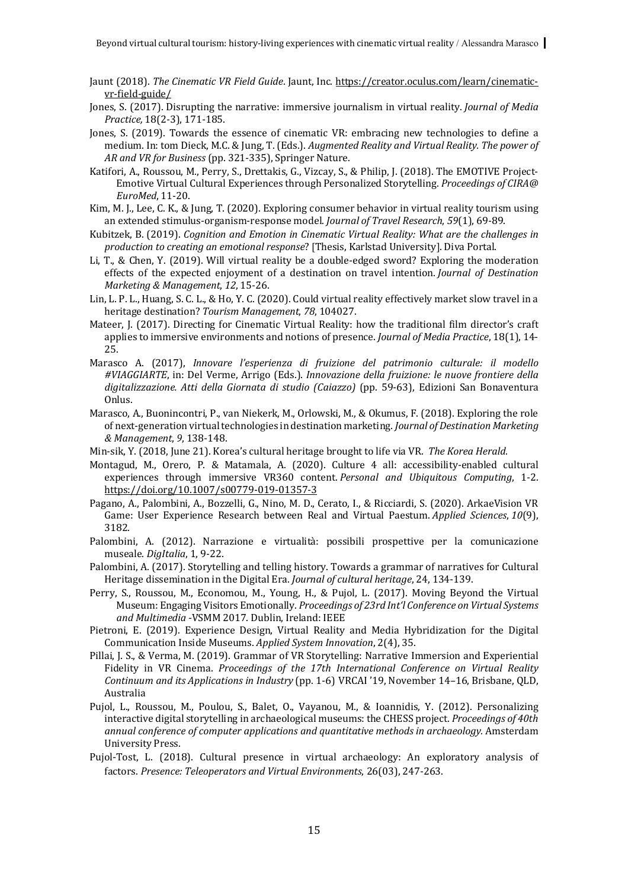- Jaunt (2018). The Cinematic VR Field Guide. Jaunt, Inc. https://creator.oculus.com/learn/cinematicvr-field-guide/
- Jones, S. (2017). Disrupting the narrative: immersive journalism in virtual reality. *Journal of Media Practice,* 18(2-3), 171-185.
- Jones, S. (2019). Towards the essence of cinematic VR: embracing new technologies to define a medium. In: tom Dieck, M.C. & Jung, T. (Eds.). *Augmented Reality and Virtual Reality. The power of* AR and VR for Business (pp. 321-335), Springer Nature.
- Katifori, A., Roussou, M., Perry, S., Drettakis, G., Vizcay, S., & Philip, J. (2018). The EMOTIVE Project-Emotive Virtual Cultural Experiences through Personalized Storytelling. *Proceedings of CIRA@ EuroMed*, 11-20.
- Kim, M. J., Lee, C. K., & Jung, T. (2020). Exploring consumer behavior in virtual reality tourism using an extended stimulus-organism-response model. *Journal of Travel Research*, 59(1), 69-89.
- Kubitzek, B. (2019). *Cognition and Emotion in Cinematic Virtual Reality: What are the challenges in* production to creating an emotional response? [Thesis, Karlstad University]. Diva Portal.
- Li, T., & Chen, Y. (2019). Will virtual reality be a double-edged sword? Exploring the moderation effects of the expected enjoyment of a destination on travel intention. *Journal of Destination Marketing & Management*, *12*, 15-26.
- Lin, L. P. L., Huang, S. C. L., & Ho, Y. C. (2020). Could virtual reality effectively market slow travel in a heritage destination? *Tourism Management*, 78, 104027.
- Mateer, J. (2017). Directing for Cinematic Virtual Reality: how the traditional film director's craft applies to immersive environments and notions of presence. *Journal of Media Practice*, 18(1), 14-25.
- Marasco A. (2017), *Innovare l'esperienza di fruizione del patrimonio culturale: il modello* #VIAGGIARTE, in: Del Verme, Arrigo (Eds.). *Innovazione della fruizione: le nuove frontiere della digitalizzazione. Atti della Giornata di studio (Caiazzo)* (pp. 59-63), Edizioni San Bonaventura Onlus.
- Marasco, A., Buonincontri, P., van Niekerk, M., Orlowski, M., & Okumus, F. (2018). Exploring the role of next-generation virtual technologies in destination marketing. *Journal of Destination Marketing & Management*, *9*, 138-148.
- Min-sik, Y. (2018, June 21). Korea's cultural heritage brought to life via VR. The Korea Herald.
- Montagud, M., Orero, P. & Matamala, A. (2020). Culture 4 all: accessibility-enabled cultural experiences through immersive VR360 content. *Personal and Ubiquitous Computing*, 1-2. https://doi.org/10.1007/s00779-019-01357-3
- Pagano, A., Palombini, A., Bozzelli, G., Nino, M. D., Cerato, I., & Ricciardi, S. (2020). ArkaeVision VR Game: User Experience Research between Real and Virtual Paestum. *Applied Sciences*, 10(9), 3182.
- Palombini, A. (2012). Narrazione e virtualità: possibili prospettive per la comunicazione museale. *DigItalia*, 1, 9-22.
- Palombini, A. (2017). Storytelling and telling history. Towards a grammar of narratives for Cultural Heritage dissemination in the Digital Era. *Journal of cultural heritage*, 24, 134-139.
- Perry, S., Roussou, M., Economou, M., Young, H., & Pujol, L. (2017). Moving Beyond the Virtual Museum: Engaging Visitors Emotionally. *Proceedings of 23rd Int'l Conference on Virtual Systems* and Multimedia -VSMM 2017. Dublin, Ireland: IEEE
- Pietroni, E. (2019). Experience Design, Virtual Reality and Media Hybridization for the Digital Communication Inside Museums. *Applied System Innovation*, 2(4), 35.
- Pillai, J. S., & Verma, M. (2019). Grammar of VR Storytelling: Narrative Immersion and Experiential Fidelity in VR Cinema. *Proceedings of the 17th International Conference on Virtual Reality Continuum and its Applications in Industry* (pp. 1-6) VRCAI '19, November 14–16, Brisbane, QLD, Australia
- Pujol, L., Roussou, M., Poulou, S., Balet, O., Vayanou, M., & Ioannidis, Y. (2012). Personalizing interactive digital storytelling in archaeological museums: the CHESS project. Proceedings of 40th annual conference of computer applications and quantitative methods in archaeology. Amsterdam University Press.
- Pujol-Tost, L. (2018). Cultural presence in virtual archaeology: An exploratory analysis of factors. *Presence: Teleoperators and Virtual Environments*, 26(03), 247-263.